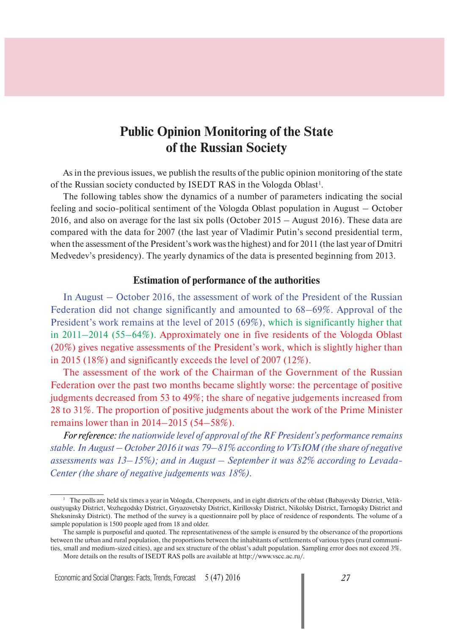## **Public Opinion Monitoring of the State of the Russian Society**

As in the previous issues, we publish the results of the public opinion monitoring of the state of the Russian society conducted by ISEDT RAS in the Vologda Oblast<sup>1</sup>.

The following tables show the dynamics of a number of parameters indicating the social feeling and socio-political sentiment of the Vologda Oblast population in August – October 2016, and also on average for the last six polls (October 2015 – August 2016). These data are compared with the data for 2007 (the last year of Vladimir Putin's second presidential term, when the assessment of the President's work was the highest) and for 2011 (the last year of Dmitri Medvedev's presidency). The yearly dynamics of the data is presented beginning from 2013.

## **Estimation of performance of the authorities**

In August – October 2016, the assessment of work of the President of the Russian Federation did not change significantly and amounted to 68–69%. Approval of the President's work remains at the level of 2015 (69%), which is significantly higher that in 2011–2014 (55–64%). Approximately one in five residents of the Vologda Oblast (20%) gives negative assessments of the President's work, which is slightly higher than in 2015 (18%) and significantly exceeds the level of 2007 (12%).

The assessment of the work of the Chairman of the Government of the Russian Federation over the past two months became slightly worse: the percentage of positive judgments decreased from 53 to 49%; the share of negative judgements increased from 28 to 31%. The proportion of positive judgments about the work of the Prime Minister remains lower than in 2014–2015 (54–58%).

*For reference: the nationwide level of approval of the RF President's performance remains stable. In August – October 2016 it was 79–81% according to VTsIOM (the share of negative assessments was 13–15%); and in August – September it was 82% according to Levada-Center (the share of negative judgements was 18%).*

<sup>&</sup>lt;sup>1</sup> The polls are held six times a year in Vologda, Cherepovets, and in eight districts of the oblast (Babayevsky District, Velikoustyugsky District, Vozhegodsky District, Gryazovetsky District, Kirillovsky District, Nikolsky District, Tarnogsky District and Sheksninsky District). The method of the survey is a questionnaire poll by place of residence of respondents. The volume of a sample population is 1500 people aged from 18 and older.

The sample is purposeful and quoted. The representativeness of the sample is ensured by the observance of the proportions between the urban and rural population, the proportions between the inhabitants of settlements of various types (rural communities, small and medium-sized cities), age and sex structure of the oblast's adult population. Sampling error does not exceed 3%.

More details on the results of ISEDT RAS polls are available at http://www.vscc.ac.ru/.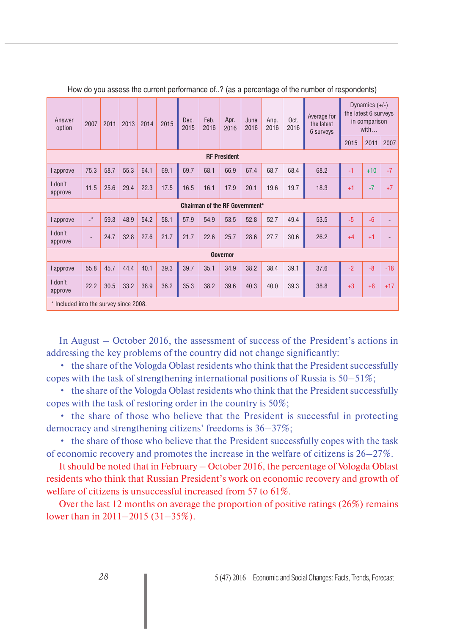| Answer<br>option                       | 2007                                  | 2011 | 2013 | 2014 | 2015 | Dec.<br>2015 | Feb.<br>2016 | Apr.<br>2016    | June<br>2016 | Апр.<br>2016 | Oct.<br>2016 | Average for<br>the latest<br>6 surveys | Dynamics $(+/-)$<br>the latest 6 surveys<br>in comparison<br>with |       |       |
|----------------------------------------|---------------------------------------|------|------|------|------|--------------|--------------|-----------------|--------------|--------------|--------------|----------------------------------------|-------------------------------------------------------------------|-------|-------|
|                                        |                                       |      |      |      |      |              |              |                 |              |              |              |                                        | 2015                                                              | 2011  | 2007  |
| <b>RF President</b>                    |                                       |      |      |      |      |              |              |                 |              |              |              |                                        |                                                                   |       |       |
| approve                                | 75.3                                  | 58.7 | 55.3 | 64.1 | 69.1 | 69.7         | 68.1         | 66.9            | 67.4         | 68.7         | 68.4         | 68.2                                   | $-1$                                                              | $+10$ | $-7$  |
| I don't<br>approve                     | 11.5                                  | 25.6 | 29.4 | 22.3 | 17.5 | 16.5         | 16.1         | 17.9            | 20.1         | 19.6         | 19.7         | 18.3                                   | $+1$                                                              | $-7$  | $+7$  |
|                                        | <b>Chairman of the RF Government*</b> |      |      |      |      |              |              |                 |              |              |              |                                        |                                                                   |       |       |
| l approve                              | $\overline{\phantom{a}}^*$            | 59.3 | 48.9 | 54.2 | 58.1 | 57.9         | 54.9         | 53.5            | 52.8         | 52.7         | 49.4         | 53.5                                   | $-5$                                                              | $-6$  |       |
| I don't<br>approve                     |                                       | 24.7 | 32.8 | 27.6 | 21.7 | 21.7         | 22.6         | 25.7            | 28.6         | 27.7         | 30.6         | 26.2                                   | $+4$                                                              | $+1$  |       |
|                                        |                                       |      |      |      |      |              |              | <b>Governor</b> |              |              |              |                                        |                                                                   |       |       |
| l approve                              | 55.8                                  | 45.7 | 44.4 | 40.1 | 39.3 | 39.7         | 35.1         | 34.9            | 38.2         | 38.4         | 39.1         | 37.6                                   | $-2$                                                              | $-8$  | $-18$ |
| I don't<br>approve                     | 22.2                                  | 30.5 | 33.2 | 38.9 | 36.2 | 35.3         | 38.2         | 39.6            | 40.3         | 40.0         | 39.3         | 38.8                                   | $+3$                                                              | $+8$  | $+17$ |
| * Included into the survey since 2008. |                                       |      |      |      |      |              |              |                 |              |              |              |                                        |                                                                   |       |       |

How do you assess the current performance of..? (as a percentage of the number of respondents)

In August – October 2016, the assessment of success of the President's actions in addressing the key problems of the country did not change significantly:

• the share of the Vologda Oblast residents who think that the President successfully copes with the task of strengthening international positions of Russia is 50–51%;

• the share of the Vologda Oblast residents who think that the President successfully copes with the task of restoring order in the country is 50%;

• the share of those who believe that the President is successful in protecting democracy and strengthening citizens' freedoms is 36–37%;

• the share of those who believe that the President successfully copes with the task of economic recovery and promotes the increase in the welfare of citizens is 26–27%.

It should be noted that in February – October 2016, the percentage of Vologda Oblast residents who think that Russian President's work on economic recovery and growth of welfare of citizens is unsuccessful increased from 57 to 61%.

Over the last 12 months on average the proportion of positive ratings (26%) remains lower than in 2011–2015 (31–35%).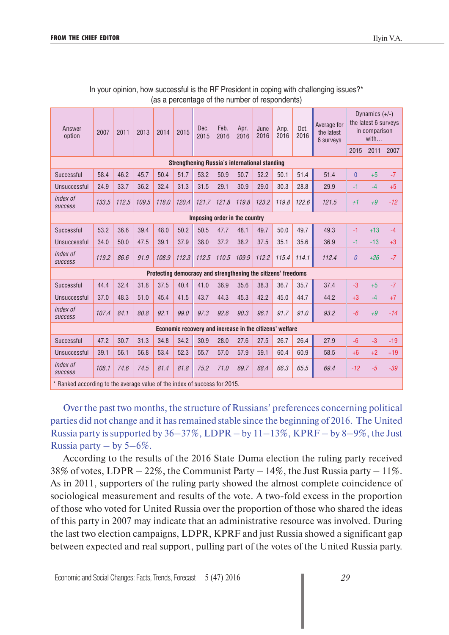| Answer<br>option                                                         | 2007  | 2011  | 2013  | 2014                                                          | 2015                                                    | Dec.<br>2015 | Feb.<br>2016 | Apr.<br>2016 | June<br>2016 | Anp.<br>2016 | Oct.<br>2016 | Average for<br>the latest<br>6 surveys | Dynamics $(+/-)$<br>the latest 6 surveys<br>in comparison<br>with |       |       |
|--------------------------------------------------------------------------|-------|-------|-------|---------------------------------------------------------------|---------------------------------------------------------|--------------|--------------|--------------|--------------|--------------|--------------|----------------------------------------|-------------------------------------------------------------------|-------|-------|
|                                                                          |       |       |       |                                                               |                                                         |              |              |              |              |              |              |                                        | 2015                                                              | 2011  | 2007  |
| <b>Strengthening Russia's international standing</b>                     |       |       |       |                                                               |                                                         |              |              |              |              |              |              |                                        |                                                                   |       |       |
| Successful                                                               | 58.4  | 46.2  | 45.7  | 50.4                                                          | 51.7                                                    | 53.2         | 50.9         | 50.7         | 52.2         | 50.1         | 51.4         | 51.4                                   | $\overline{0}$                                                    | $+5$  | $-7$  |
| Unsuccessful                                                             | 24.9  | 33.7  | 36.2  | 32.4                                                          | 31.3                                                    | 31.5         | 29.1         | 30.9         | 29.0         | 30.3         | 28.8         | 29.9                                   | $-1$                                                              | $-4$  | $+5$  |
| Index of<br><b>SUCCESS</b>                                               | 133.5 | 112.5 | 109.5 | 118.0                                                         | 120.4                                                   | 121.7        | 121.8        | 119.8        | 123.2        | 119.8        | 122.6        | 121.5                                  | $+1$                                                              | $+9$  | $-12$ |
| Imposing order in the country                                            |       |       |       |                                                               |                                                         |              |              |              |              |              |              |                                        |                                                                   |       |       |
| Successful                                                               | 53.2  | 36.6  | 39.4  | 48.0                                                          | 50.2                                                    | 50.5         | 47.7         | 48.1         | 49.7         | 50.0         | 49.7         | 49.3                                   | $-1$                                                              | $+13$ | $-4$  |
| Unsuccessful                                                             | 34.0  | 50.0  | 47.5  | 39.1                                                          | 37.9                                                    | 38.0         | 37.2         | 38.2         | 37.5         | 35.1         | 35.6         | 36.9                                   | $-1$                                                              | $-13$ | $+3$  |
| Index of<br><b>SUCCESS</b>                                               | 119.2 | 86.6  | 91.9  | 108.9                                                         | 112.3                                                   | 112.5        | 110.5        | 109.9        | 112.2        | 115.4        | 114.1        | 112.4                                  | $\theta$                                                          | $+26$ | $-7$  |
|                                                                          |       |       |       | Protecting democracy and strengthening the citizens' freedoms |                                                         |              |              |              |              |              |              |                                        |                                                                   |       |       |
| Successful                                                               | 44.4  | 32.4  | 31.8  | 37.5                                                          | 40.4                                                    | 41.0         | 36.9         | 35.6         | 38.3         | 36.7         | 35.7         | 37.4                                   | $-3$                                                              | $+5$  | $-7$  |
| Unsuccessful                                                             | 37.0  | 48.3  | 51.0  | 45.4                                                          | 41.5                                                    | 43.7         | 44.3         | 45.3         | 42.2         | 45.0         | 44.7         | 44.2                                   | $+3$                                                              | $-4$  | $+7$  |
| Index of<br><b>SUCCESS</b>                                               | 107.4 | 84.1  | 80.8  | 92.1                                                          | 99.0                                                    | 97.3         | 92.6         | 90.3         | 96.1         | 91.7         | 91.0         | 93.2                                   | $-6$                                                              | $+9$  | $-14$ |
|                                                                          |       |       |       |                                                               | Economic recovery and increase in the citizens' welfare |              |              |              |              |              |              |                                        |                                                                   |       |       |
| Successful                                                               | 47.2  | 30.7  | 31.3  | 34.8                                                          | 34.2                                                    | 30.9         | 28.0         | 27.6         | 27.5         | 26.7         | 26.4         | 27.9                                   | $-6$                                                              | $-3$  | $-19$ |
| Unsuccessful                                                             | 39.1  | 56.1  | 56.8  | 53.4                                                          | 52.3                                                    | 55.7         | 57.0         | 57.9         | 59.1         | 60.4         | 60.9         | 58.5                                   | $+6$                                                              | $+2$  | $+19$ |
| Index of<br><b>SUCCESS</b>                                               | 108.1 | 74.6  | 74.5  | 81.4                                                          | 81.8                                                    | 75.2         | 71.0         | 69.7         | 68.4         | 66.3         | 65.5         | 69.4                                   | $-12$                                                             | $-5$  | $-39$ |
| * Banked according to the average value of the index of success for 2015 |       |       |       |                                                               |                                                         |              |              |              |              |              |              |                                        |                                                                   |       |       |

| In your opinion, how successful is the RF President in coping with challenging issues?* |                                                |  |  |
|-----------------------------------------------------------------------------------------|------------------------------------------------|--|--|
|                                                                                         | (as a percentage of the number of respondents) |  |  |

\* Ranked according to the average value of the index of success for 2015.

Over the past two months, the structure of Russians' preferences concerning political parties did not change and it has remained stable since the beginning of 2016. The United Russia party is supported by  $36-37\%$ , LDPR – by  $11-13\%$ , KPRF – by  $8-9\%$ , the Just Russia party – by  $5-6\%$ .

According to the results of the 2016 State Duma election the ruling party received 38% of votes,  $LDPR - 22\%$ , the Communist Party  $-14\%$ , the Just Russia party  $-11\%$ . As in 2011, supporters of the ruling party showed the almost complete coincidence of sociological measurement and results of the vote. A two-fold excess in the proportion of those who voted for United Russia over the proportion of those who shared the ideas of this party in 2007 may indicate that an administrative resource was involved. During the last two election campaigns, LDPR, KPRF and just Russia showed a significant gap between expected and real support, pulling part of the votes of the United Russia party.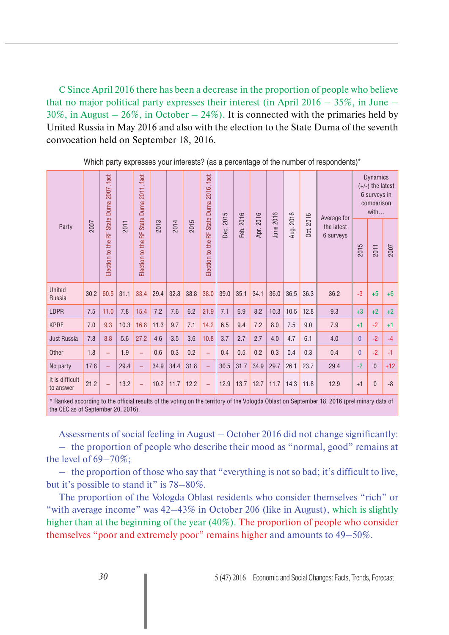С Since April 2016 there has been a decrease in the proportion of people who believe that no major political party expresses their interest (in April  $2016 - 35\%$ , in June – 30%, in August  $-26\%$ , in October  $-24\%$ ). It is connected with the primaries held by United Russia in May 2016 and also with the election to the State Duma of the seventh convocation held on September 18, 2016.

| Party                                                                                                            | 2007 | 2007, fact<br>Duma:<br>State I<br>뚶<br>Election to the | 2011 | Election to the RF State Duma 2011, fact | 2013 | 2014 | 2015 | State Duma 2016, fact<br>Election to the RF |              |              | 2016<br>Apr. | 2016<br>June: | Aug. 2016 | 2016<br>Oct. |                                        | <b>Dynamics</b><br>(+/-) the latest<br>6 surveys in<br>comparison |              |       |
|------------------------------------------------------------------------------------------------------------------|------|--------------------------------------------------------|------|------------------------------------------|------|------|------|---------------------------------------------|--------------|--------------|--------------|---------------|-----------|--------------|----------------------------------------|-------------------------------------------------------------------|--------------|-------|
|                                                                                                                  |      |                                                        |      |                                          |      |      |      |                                             | 2015<br>Dec. | 2016<br>Feb. |              |               |           |              | Average for<br>the latest<br>6 surveys | 2015                                                              | with<br>2011 | 2007  |
| United<br>Russia                                                                                                 | 30.2 | 60.5                                                   | 31.1 | 33.4                                     | 29.4 | 32.8 | 38.8 | 38.0                                        | 39.0         | 35.1         | 34.1         | 36.0          | 36.5      | 36.3         | 36.2                                   | $-3$                                                              | $+5$         | $+6$  |
| LDPR                                                                                                             | 7.5  | 11.0                                                   | 7.8  | 15.4                                     | 7.2  | 7.6  | 6.2  | 21.9                                        | 7.1          | 6.9          | 8.2          | 10.3          | 10.5      | 12.8         | 9.3                                    | $+3$                                                              | $+2$         | $+2$  |
| <b>KPRF</b>                                                                                                      | 7.0  | 9.3                                                    | 10.3 | 16.8                                     | 11.3 | 9.7  | 7.1  | 14.2                                        | 6.5          | 9.4          | 7.2          | 8.0           | 7.5       | 9.0          | 7.9                                    | $+1$                                                              | $-2$         | $+1$  |
| Just Russia                                                                                                      | 7.8  | 8.8                                                    | 5.6  | 27.2                                     | 4.6  | 3.5  | 3.6  | 10.8                                        | 3.7          | 2.7          | 2.7          | 4.0           | 4.7       | 6.1          | 4.0                                    | $\mathbf{0}$                                                      | $-2$         | $-4$  |
| Other                                                                                                            | 1.8  | $\overline{\phantom{0}}$                               | 1.9  | $\equiv$                                 | 0.6  | 0.3  | 0.2  | $\equiv$                                    | 0.4          | 0.5          | 0.2          | 0.3           | 0.4       | 0.3          | 0.4                                    | $\mathbf{0}$                                                      | $-2$         | $-1$  |
| No party                                                                                                         | 17.8 | -                                                      | 29.4 | $\overline{\phantom{0}}$                 | 34.9 | 34.4 | 31.8 | -                                           | 30.5         | 31.7         | 34.9         | 29.7          | 26.1      | 23.7         | 29.4                                   | $-2$                                                              | $\mathbf{0}$ | $+12$ |
| It is difficult<br>to answer                                                                                     | 21.2 | $\equiv$                                               | 13.2 | $\overline{\phantom{0}}$                 | 10.2 | 11.7 | 12.2 | $\equiv$                                    | 12.9         | 13.7         | 12.7         | 11.7          | 14.3      | 11.8         | 12.9                                   | $+1$                                                              | $\mathbf{0}$ | $-8$  |
| * Replead according to the official results of the vating on the territory of the Valende Oblact on Contempor 19 |      |                                                        |      |                                          |      |      |      |                                             |              |              |              |               |           |              | 2016 Involiminary data of              |                                                                   |              |       |

Which party expresses your interests? (as a percentage of the number of respondents)\*

Kanked according to the official results of the voting the CEC as of September 20, 2016).

Assessments of social feeling in August – October 2016 did not change significantly: – the proportion of people who describe their mood as "normal, good" remains at the level of 69–70%;

– the proportion of those who say that "everything is not so bad; it's difficult to live, but it's possible to stand it" is 78–80%.

The proportion of the Vologda Oblast residents who consider themselves "rich" or "with average income" was 42–43% in October 206 (like in August), which is slightly higher than at the beginning of the year (40%). The proportion of people who consider themselves "poor and extremely poor" remains higher and amounts to 49–50%.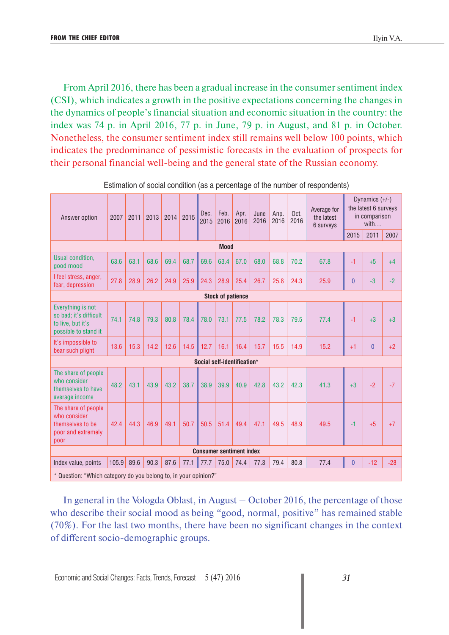From April 2016, there has been a gradual increase in the consumer sentiment index (CSI), which indicates a growth in the positive expectations concerning the changes in the dynamics of people's financial situation and economic situation in the country: the index was 74 p. in April 2016, 77 p. in June, 79 p. in August, and 81 p. in October. Nonetheless, the consumer sentiment index still remains well below 100 points, which indicates the predominance of pessimistic forecasts in the evaluation of prospects for their personal financial well-being and the general state of the Russian economy.

| Answer option                                                                            | 2007  | 2011 | 2013 | 2014 | 2015 | Dec.<br>2015 | Feb.<br>2016                    | Apr.<br>2016 | June<br>2016 | Апр.<br>2016 | Oct.<br>2016 | Average for<br>the latest<br>6 surveys | Dynamics $(+/-)$<br>the latest 6 surveys<br>in comparison<br>with |                |       |
|------------------------------------------------------------------------------------------|-------|------|------|------|------|--------------|---------------------------------|--------------|--------------|--------------|--------------|----------------------------------------|-------------------------------------------------------------------|----------------|-------|
|                                                                                          |       |      |      |      |      |              |                                 |              |              |              |              |                                        | 2015                                                              | 2011           | 2007  |
|                                                                                          |       |      |      |      |      |              | <b>Mood</b>                     |              |              |              |              |                                        |                                                                   |                |       |
| Usual condition.<br>good mood                                                            | 63.6  | 63.1 | 68.6 | 69.4 | 68.7 | 69.6         | 63.4                            | 67.0         | 68.0         | 68.8         | 70.2         | 67.8                                   | $-1$                                                              | $+5$           | $+4$  |
| I feel stress, anger,<br>fear, depression                                                | 27.8  | 28.9 | 26.2 | 24.9 | 25.9 | 24.3         | 28.9                            | 25.4         | 26.7         | 25.8         | 24.3         | 25.9                                   | $\mathbf{0}$                                                      | $-3$           | $-2$  |
| <b>Stock of patience</b>                                                                 |       |      |      |      |      |              |                                 |              |              |              |              |                                        |                                                                   |                |       |
| Everything is not<br>so bad; it's difficult<br>to live, but it's<br>possible to stand it | 74.1  | 74.8 | 79.3 | 80.8 | 78.4 | 78.0         | 73.1                            | 77.5         | 78.2         | 78.3         | 79.5         | 77.4                                   | $-1$                                                              | $+3$           | $+3$  |
| It's impossible to<br>bear such plight                                                   | 13.6  | 15.3 | 14.2 | 12.6 | 14.5 | 12.7         | 16.1                            | 16.4         | 15.7         | 15.5         | 14.9         | 15.2                                   | $+1$                                                              | $\overline{0}$ | $+2$  |
|                                                                                          |       |      |      |      |      |              | Social self-identification*     |              |              |              |              |                                        |                                                                   |                |       |
| The share of people<br>who consider<br>themselves to have<br>average income              | 48.2  | 43.1 | 43.9 | 43.2 | 38.7 | 38.9         | 39.9                            | 40.9         | 42.8         | 43.2         | 42.3         | 41.3                                   | $+3$                                                              | $-2$           | $-7$  |
| The share of people<br>who consider<br>themselves to be<br>poor and extremely<br>poor    | 42.4  | 44.3 | 46.9 | 49.1 | 50.7 | 50.5         | 51.4                            | 49.4         | 47.1         | 49.5         | 48.9         | 49.5                                   | $-1$                                                              | $+5$           | $+7$  |
|                                                                                          |       |      |      |      |      |              | <b>Consumer sentiment index</b> |              |              |              |              |                                        |                                                                   |                |       |
| Index value, points                                                                      | 105.9 | 89.6 | 90.3 | 87.6 | 77.1 | 77.7         | 75.0                            | 74.4         | 77.3         | 79.4         | 80.8         | 77.4                                   | $\overline{0}$                                                    | $-12$          | $-28$ |
| * Question: "Which category do you belong to, in your opinion?"                          |       |      |      |      |      |              |                                 |              |              |              |              |                                        |                                                                   |                |       |

Estimation of social condition (as a percentage of the number of respondents)

In general in the Vologda Oblast, in August – October 2016, the percentage of those who describe their social mood as being "good, normal, positive" has remained stable (70%). For the last two months, there have been no significant changes in the context of different socio-demographic groups.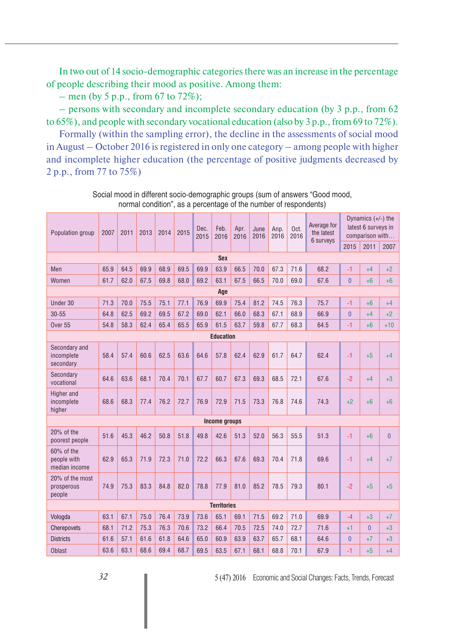In two out of 14 socio-demographic categories there was an increase in the percentage of people describing their mood as positive. Among them:

 $-$  men (by 5 p.p., from 67 to 72%);

– persons with secondary and incomplete secondary education (by 3 p.p., from 62 to 65%), and people with secondary vocational education (also by 3 p.p., from 69 to 72%).

Formally (within the sampling error), the decline in the assessments of social mood in August – October 2016 is registered in only one category – among people with higher and incomplete higher education (the percentage of positive judgments decreased by 2 p.p., from 77 to 75%)

| Population group                              | 2007 | 2011 | 2013 | 2014 | 2015 | Dec.<br>2015 | Feb.<br>2016       | Apr.<br>2016 | June<br>2016 | Апр.<br>2016 | Oct.<br>2016 | Average for<br>the latest<br>6 surveys |                | Dynamics $(+/-)$ the<br>latest 6 surveys in<br>comparison with |                |  |  |
|-----------------------------------------------|------|------|------|------|------|--------------|--------------------|--------------|--------------|--------------|--------------|----------------------------------------|----------------|----------------------------------------------------------------|----------------|--|--|
|                                               |      |      |      |      |      |              |                    |              |              |              |              |                                        | 2015           | 2011                                                           | 2007           |  |  |
|                                               |      |      |      |      |      |              | <b>Sex</b>         |              |              |              |              |                                        |                |                                                                |                |  |  |
| Men                                           | 65.9 | 64.5 | 69.9 | 68.9 | 69.5 | 69.9         | 63.9               | 66.5         | 70.0         | 67.3         | 71.6         | 68.2                                   | $-1$           | +4                                                             | $+2$           |  |  |
| Women                                         | 61.7 | 62.0 | 67.5 | 69.8 | 68.0 | 69.2         | 63.1               | 67.5         | 66.5         | 70.0         | 69.0         | 67.6                                   | $\overline{0}$ | $+6$                                                           | +6             |  |  |
| Age                                           |      |      |      |      |      |              |                    |              |              |              |              |                                        |                |                                                                |                |  |  |
| Under 30                                      | 71.3 | 70.0 | 75.5 | 75.1 | 77.1 | 76.9         | 69.9               | 75.4         | 81.2         | 74.5         | 76.3         | 75.7                                   | -1             | $+6$                                                           | +4             |  |  |
| $30 - 55$                                     | 64.8 | 62.5 | 69.2 | 69.5 | 67.2 | 69.0         | 62.1               | 66.0         | 68.3         | 67.1         | 68.9         | 66.9                                   | $\overline{0}$ | $+4$                                                           | $+2$           |  |  |
| Over <sub>55</sub>                            | 54.8 | 58.3 | 62.4 | 65.4 | 65.5 | 65.9         | 61.5               | 63.7         | 59.8         | 67.7         | 68.3         | 64.5                                   | $-1$           | $+6$                                                           | $+10$          |  |  |
| <b>Education</b>                              |      |      |      |      |      |              |                    |              |              |              |              |                                        |                |                                                                |                |  |  |
| Secondary and<br>incomplete<br>secondary      | 58.4 | 57.4 | 60.6 | 62.5 | 63.6 | 64.6         | 57.8               | 62.4         | 62.9         | 61.7         | 64.7         | 62.4                                   | -1             | $+5$                                                           | $+4$           |  |  |
| Secondary<br>vocational                       | 64.6 | 63.6 | 68.1 | 70.4 | 70.1 | 67.7         | 60.7               | 67.3         | 69.3         | 68.5         | 72.1         | 67.6                                   | $-2$           | $+4$                                                           | $+3$           |  |  |
| Higher and<br>incomplete<br>higher            | 68.6 | 68.3 | 77.4 | 76.2 | 72.7 | 76.9         | 72.9               | 71.5         | 73.3         | 76.8         | 74.6         | 74.3                                   | $+2$           | $+6$                                                           | $+6$           |  |  |
|                                               |      |      |      |      |      |              | Income groups      |              |              |              |              |                                        |                |                                                                |                |  |  |
| 20% of the<br>poorest people                  | 51.6 | 45.3 | 46.2 | 50.8 | 51.8 | 49.8         | 42.6               | 51.3         | 52.0         | 56.3         | 55.5         | 51.3                                   | -1             | $+6$                                                           | $\overline{0}$ |  |  |
| $60\%$ of the<br>people with<br>median income | 62.9 | 65.3 | 71.9 | 72.3 | 71.0 | 72.2         | 66.3               | 67.6         | 69.3         | 70.4         | 71.8         | 69.6                                   | -1             | $+4$                                                           | $+7$           |  |  |
| 20% of the most<br>prosperous<br>people       | 74.9 | 75.3 | 83.3 | 84.8 | 82.0 | 78.8         | 77.9               | 81.0         | 85.2         | 78.5         | 79.3         | 80.1                                   | $-2$           | $+5$                                                           | $+5$           |  |  |
|                                               |      |      |      |      |      |              | <b>Territories</b> |              |              |              |              |                                        |                |                                                                |                |  |  |
| Vologda                                       | 63.1 | 67.1 | 75.0 | 76.4 | 73.9 | 73.6         | 65.1               | 69.1         | 71.5         | 69.2         | 71.0         | 69.9                                   | $-4$           | $+3$                                                           | $+7$           |  |  |
| Cherepovets                                   | 68.1 | 71.2 | 75.3 | 76.3 | 70.6 | 73.2         | 66.4               | 70.5         | 72.5         | 74.0         | 72.7         | 71.6                                   | $+1$           | $\overline{0}$                                                 | $+3$           |  |  |
| <b>Districts</b>                              | 61.6 | 57.1 | 61.6 | 61.8 | 64.6 | 65.0         | 60.9               | 63.9         | 63.7         | 65.7         | 68.1         | 64.6                                   | $\overline{0}$ | $+7$                                                           | $+3$           |  |  |
| <b>Oblast</b>                                 | 63.6 | 63.1 | 68.6 | 69.4 | 68.7 | 69.5         | 63.5               | 67.1         | 68.1         | 68.8         | 70.1         | 67.9                                   | -1             | $+5$                                                           | $+4$           |  |  |

Social mood in different socio-demographic groups (sum of answers "Good mood, normal condition", as a percentage of the number of respondents)

*32* 5 (47) 2016 Economic and Social Changes: Facts, Trends, Forecast